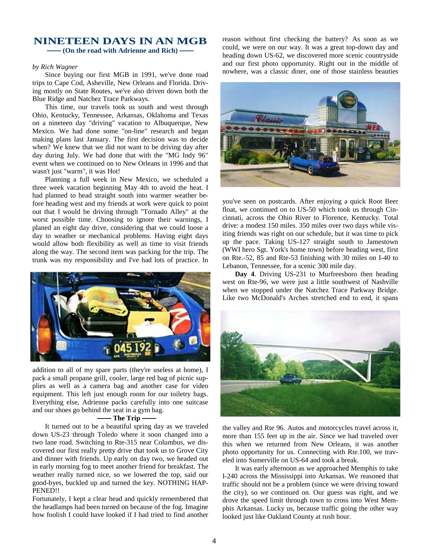# **NINETEEN DAYS IN AN MGB**

**—— (On the road with Adrienne and Rich) ——**

### *by Rich Wagner*

Since buying our first MGB in 1991, we've done road trips to Cape Cod, Asheville, New Orleans and Florida. Driving mostly on State Routes, we've also driven down both the Blue Ridge and Natchez Trace Parkways.

This time, our travels took us south and west through Ohio, Kentucky, Tennessee, Arkansas, Oklahoma and Texas on a nineteen day "driving" vacation to Albuquerque, New Mexico. We had done some "on-line" research and began making plans last January. The first decision was to decide when? We knew that we did not want to be driving day after day during July. We had done that with the "MG Indy 96" event when we continued on to New Orleans in 1996 and that wasn't just "warm", it was Hot!

Planning a full week in New Mexico, we scheduled a three week vacation beginning May 4th to avoid the heat. I had planned to head straight south into warmer weather before heading west and my friends at work were quick to point out that I would be driving through "Tornado Alley" at the worst possible time. Choosing to ignore their warnings, I planed an eight day drive, considering that we could loose a day to weather or mechanical problems. Having eight days would allow both flexibility as well as time to visit friends along the way. The second item was packing for the trip. The trunk was my responsibility and I've had lots of practice. In



addition to all of my spare parts (they're useless at home), I pack a small propane grill, cooler, large red bag of picnic supplies as well as a camera bag and another case for video equipment. This left just enough room for our toiletry bags. Everything else, Adrienne packs carefully into one suitcase and our shoes go behind the seat in a gym bag.

## **—— The Trip ——**

It turned out to be a beautiful spring day as we traveled down US-23 through Toledo where it soon changed into a two lane road. Switching to Rte-315 near Columbus, we discovered our first really pretty drive that took us to Grove City and dinner with friends. Up early on day two, we headed out in early morning fog to meet another friend for breakfast. The weather really turned nice, so we lowered the top, said our good-byes, buckled up and turned the key. NOTHING HAP-PENED!!

Fortunately, I kept a clear head and quickly remembered that the headlamps had been turned on because of the fog. Imagine how foolish I could have looked if I had tried to find another reason without first checking the battery? As soon as we could, we were on our way. It was a great top-down day and heading down US-62, we discovered more scenic countryside and our first photo opportunity. Right out in the middle of nowhere, was a classic diner, one of those stainless beauties



you've seen on postcards. After enjoying a quick Root Beer float, we continued on to US-50 which took us through Cincinnati, across the Ohio River to Florence, Kentucky. Total drive: a modest 150 miles. 350 miles over two days while visiting friends was right on our schedule, but it was time to pick up the pace. Taking US-127 straight south to Jamestown (WWI hero Sgt. York's home town) before heading west, first on Rte.-52, 85 and Rte-53 finishing with 30 miles on I-40 to Lebanon, Tennessee, for a scenic 300 mile day.

**Day 4**. Driving US-231 to Murfreesboro then heading west on Rte-96, we were just a little southwest of Nashville when we stopped under the Natchez Trace Parkway Bridge. Like two McDonald's Arches stretched end to end, it spans



the valley and Rte 96. Autos and motorcycles travel across it, more than 155 feet up in the air. Since we had traveled over this when we returned from New Orleans, it was another photo opportunity for us. Connecting with Rte.100, we traveled into Sumerville on US-64 and took a break.

It was early afternoon as we approached Memphis to take I-240 across the Mississippi into Arkansas. We reasoned that traffic should not be a problem (since we were driving toward the city), so we continued on. Our guess was right, and we drove the speed limit through town to cross into West Memphis Arkansas. Lucky us, because traffic going the other way looked just like Oakland County at rush hour.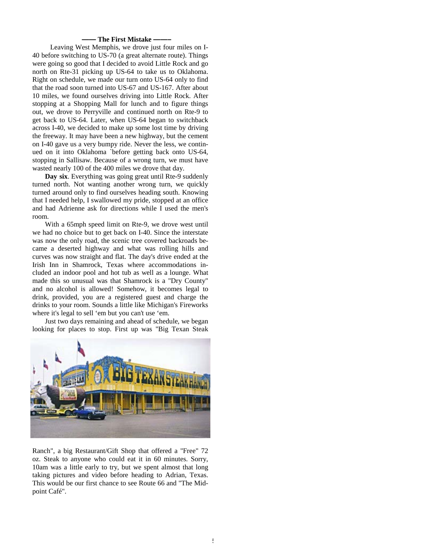## **—— The First Mistake ——–**

 Leaving West Memphis, we drove just four miles on I-40 before switching to US-70 (a great alternate route). Things were going so good that I decided to avoid Little Rock and go north on Rte-31 picking up US-64 to take us to Oklahoma. Right on schedule, we made our turn onto US-64 only to find that the road soon turned into US-67 and US-167. After about 10 miles, we found ourselves driving into Little Rock. After stopping at a Shopping Mall for lunch and to figure things out, we drove to Perryville and continued north on Rte-9 to get back to US-64. Later, when US-64 began to switchback across I-40, we decided to make up some lost time by driving the freeway. It may have been a new highway, but the cement on I-40 gave us a very bumpy ride. Never the less, we continued on it into Oklahoma `before getting back onto US-64, stopping in Sallisaw. Because of a wrong turn, we must have wasted nearly 100 of the 400 miles we drove that day.

**Day six**. Everything was going great until Rte-9 suddenly turned north. Not wanting another wrong turn, we quickly turned around only to find ourselves heading south. Knowing that I needed help, I swallowed my pride, stopped at an office and had Adrienne ask for directions while I used the men's room.

With a 65mph speed limit on Rte-9, we drove west until we had no choice but to get back on I-40. Since the interstate was now the only road, the scenic tree covered backroads became a deserted highway and what was rolling hills and curves was now straight and flat. The day's drive ended at the Irish Inn in Shamrock, Texas where accommodations included an indoor pool and hot tub as well as a lounge. What made this so unusual was that Shamrock is a "Dry County" and no alcohol is allowed! Somehow, it becomes legal to drink, provided, you are a registered guest and charge the drinks to your room. Sounds a little like Michigan's Fireworks where it's legal to sell 'em but you can't use 'em.

Just two days remaining and ahead of schedule, we began looking for places to stop. First up was "Big Texan Steak



Ranch", a big Restaurant/Gift Shop that offered a "Free" 72 oz. Steak to anyone who could eat it in 60 minutes. Sorry, 10am was a little early to try, but we spent almost that long taking pictures and video before heading to Adrian, Texas. This would be our first chance to see Route 66 and "The Midpoint Café".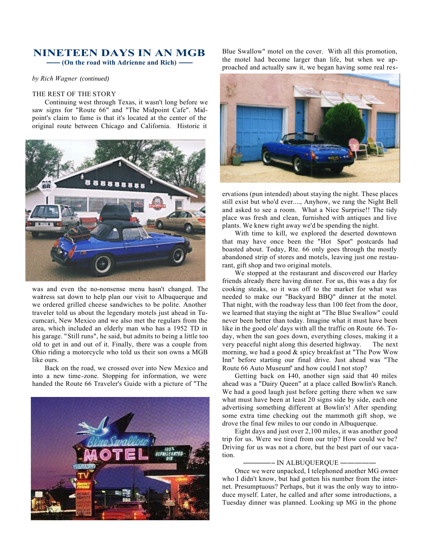## **NINETEEN DAYS IN AN MGB —— (On the road with Adrienne and Rich) ——**

*by Rich Wagner (continued)* 

#### THE REST OF THE STORY

Continuing west through Texas, it wasn't long before we saw signs for "Route 66" and "The Midpoint Cafe". Midpoint's claim to fame is that it's located at the center of the original route between Chicago and California. Historic it



was and even the no-nonsense menu hasn't changed. The waitress sat down to help plan our visit to Albuquerque and we ordered grilled cheese sandwiches to be polite. Another traveler told us about the legendary motels just ahead in Tucumcari, New Mexico and we also met the regulars from the area, which included an elderly man who has a 1952 TD in his garage. "Still runs", he said, but admits to being a little too old to get in and out of it. Finally, there was a couple from Ohio riding a motorcycle who told us their son owns a MGB like ours.

Back on the road, we crossed over into New Mexico and into a new time-zone. Stopping for information, we were handed the Route 66 Traveler's Guide with a picture of "The



Blue Swallow" motel on the cover. With all this promotion, the motel had become larger than life, but when we approached and actually saw it, we began having some real res-



ervations (pun intended) about staying the night. These places still exist but who'd ever...., Anyhow, we rang the Night Bell and asked to see a room. What a Nice Surprise!! The tidy place was fresh and clean, furnished with antiques and live plants. We knew right away we'd be spending the night.

With time to kill, we explored the deserted downtown that may have once been the "Hot Spot" postcards had boasted about. Today, Rte. 66 only goes through the mostly abandoned strip of stores and motels, leaving just one restaurant, gift shop and two original motels.

We stopped at the restaurant and discovered our Harley friends already there having dinner. For us, this was a day for cooking steaks, so it was off to the market for what was needed to make our "Backyard BBQ" dinner at the motel. That night, with the roadway less than 100 feet from the door, we learned that staying the night at "The Blue Swallow" could never been better than today. Imagine what it must have been like in the good ole' days with all the traffic on Route 66. Today, when the sun goes down, everything closes, making it a very peaceful night along this deserted highway. The next morning, we had a good & spicy breakfast at "The Pow Wow Inn" before starting our final drive. Just ahead was "The Route 66 Auto Museum" and how could I not stop?

Getting back on I40, another sign said that 40 miles ahead was a "Dairy Queen" at a place called Bowlin's Ranch. We had a good laugh just before getting there when we saw what must have been at least 20 signs side by side, each one advertising something different at Bowlin's! After spending some extra time checking out the mammoth gift shop, we drove the final few miles to our condo in Albuquerque.

Eight days and just over 2,100 miles, it was another good trip for us. Were we tired from our trip? How could we be? Driving for us was not a chore, but the best part of our vacation.

#### ————– IN ALBUQUERQUE —————

Once we were unpacked, I telephoned another MG owner who I didn't know, but had gotten his number from the internet. Presumptuous? Perhaps, but it was the only way to introduce myself. Later, he called and after some introductions, a Tuesday dinner was planned. Looking up MG in the phone